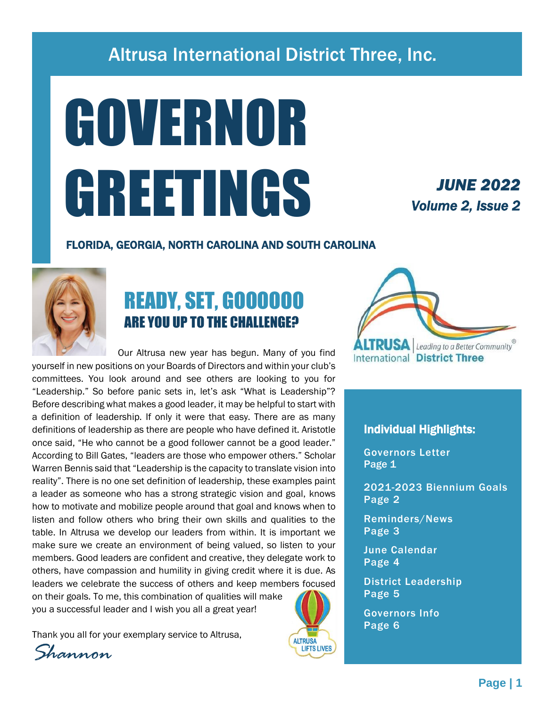### Altrusa International District Three, Inc.

# GOVERNOR GREETINGS

### *JUNE 2022 Volume 2, Issue 2*

#### FLORIDA, GEORGIA, NORTH CAROLINA AND SOUTH CAROLINA



### READY, SET, GOOOOOO ARE YOU UP TO THE CHALLENGE?

 Our Altrusa new year has begun. Many of you find yourself in new positions on your Boards of Directors and within your club's committees. You look around and see others are looking to you for "Leadership." So before panic sets in, let's ask "What is Leadership"? Before describing what makes a good leader, it may be helpful to start with a definition of leadership. If only it were that easy. There are as many definitions of leadership as there are people who have defined it. Aristotle once said, "He who cannot be a good follower cannot be a good leader." According to Bill Gates, "leaders are those who empower others." Scholar Warren Bennis said that "Leadership is the capacity to translate vision into reality". There is no one set definition of leadership, these examples paint a leader as someone who has a strong strategic vision and goal, knows how to motivate and mobilize people around that goal and knows when to listen and follow others who bring their own skills and qualities to the table. In Altrusa we develop our leaders from within. It is important we make sure we create an environment of being valued, so listen to your members. Good leaders are confident and creative, they delegate work to others, have compassion and humility in giving credit where it is due. As leaders we celebrate the success of others and keep members focused

on their goals. To me, this combination of qualities will make you a successful leader and I wish you all a great year!

Thank you all for your exemplary service to Altrusa,

*Shannon*



#### Individual Highlights:

Governors Letter Page 1

2021-2023 Biennium Goals Page 2

Reminders/News Page 3

June Calendar Page 4

District Leadership Page 5

Governors Info Page 6

**ALTRUSA LIFTS LIVES**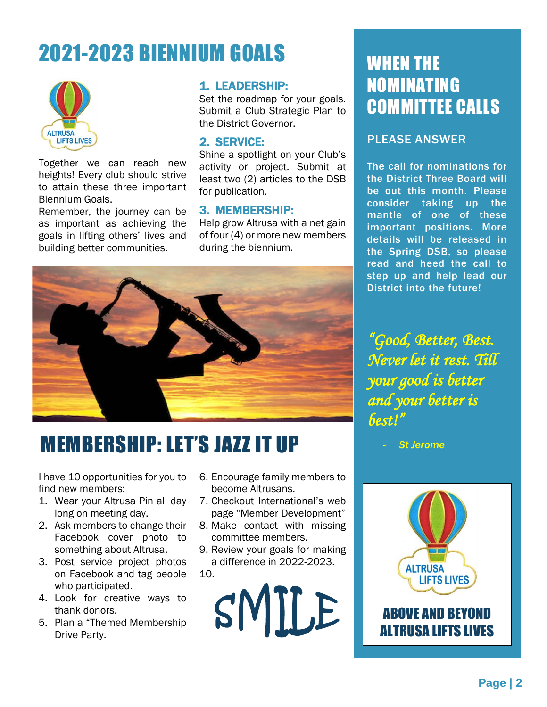### 2021-2023 BIENNIUM GOALS WHEN THE



Together we can reach new heights! Every club should strive to attain these three important Biennium Goals.

Remember, the journey can be as important as achieving the goals in lifting others' lives and building better communities.

#### 1. LEADERSHIP:

Set the roadmap for your goals. Submit a Club Strategic Plan to the District Governor.

#### 2. SERVICE:

Shine a spotlight on your Club's activity or project. Submit at least two (2) articles to the DSB for publication.

#### 3. MEMBERSHIP:

Help grow Altrusa with a net gain of four (4) or more new members during the biennium.



### MEMBERSHIP: LET'S JAZZ IT UP

I have 10 opportunities for you to find new members:

- 1. Wear your Altrusa Pin all day long on meeting day.
- 2. Ask members to change their Facebook cover photo to something about Altrusa.
- 3. Post service project photos on Facebook and tag people who participated.
- 4. Look for creative ways to thank donors.
- 5. Plan a "Themed Membership Drive Party.
- 6. Encourage family members to become Altrusans.
- 7. Checkout International's web page "Member Development"
- 8. Make contact with missing committee members.
- 9. Review your goals for making a difference in 2022-2023.
- 10.



## NOMINATING COMMITTEE CALLS

#### PLEASE ANSWER

The call for nominations for the District Three Board will be out this month. Please consider taking up the mantle of one of these important positions. More details will be released in the Spring DSB, so please read and heed the call to step up and help lead our District into the future!

*"Good, Better, Best. Never let it rest. Till your good is better and your better is best!"* 

- *St Jerome*



### ABOVE AND BEYOND ALTRUSA LIFTS LIVES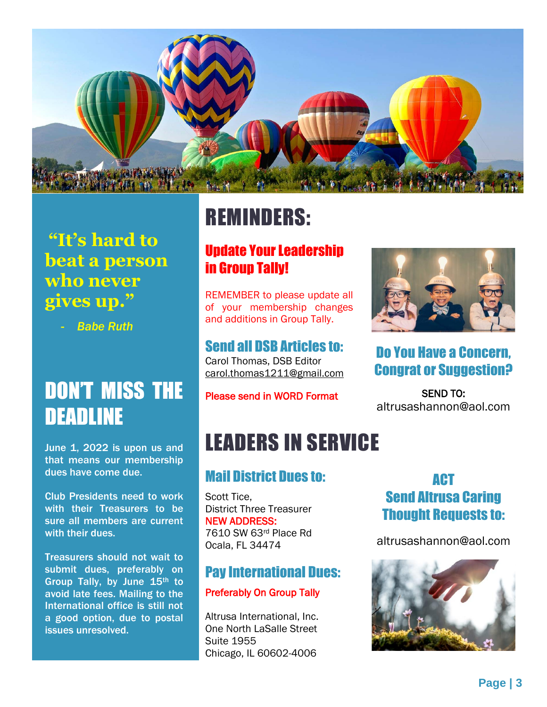

### **"It's hard to beat a person who never gives up."**

- *Babe Ruth*

### DON'T MISS THE DEADLINE

June 1, 2022 is upon us and that means our membership dues have come due.

Club Presidents need to work with their Treasurers to be sure all members are current with their dues.

Treasurers should not wait to submit dues, preferably on Group Tally, by June 15th to avoid late fees. Mailing to the International office is still not a good option, due to postal issues unresolved.

### REMINDERS:

### Update Your Leadership in Group Tally!

REMEMBER to please update all of your membership changes and additions in Group Tally.

### Send all DSB Articles to:

Carol Thomas, DSB Editor [carol.thomas1211@gmail.com](mailto:carol.thomas1211@gmail.com)

#### Please send in WORD Format

### LEADERS IN SERVICE

### Mail District Dues to:

Scott Tice, District Three Treasurer NEW ADDRESS: 7610 SW 63rd Place Rd Ocala, FL 34474

### Pay International Dues:

#### Preferably On Group Tally

Altrusa International, Inc. One North LaSalle Street Suite 1955 Chicago, IL 60602-4006

### ACT Send Altrusa Caring Thought Requests to:

altrusashannon@aol.com



## Do You Have a Concern, Congrat or Suggestion?

SEND TO: altrusashannon@aol.com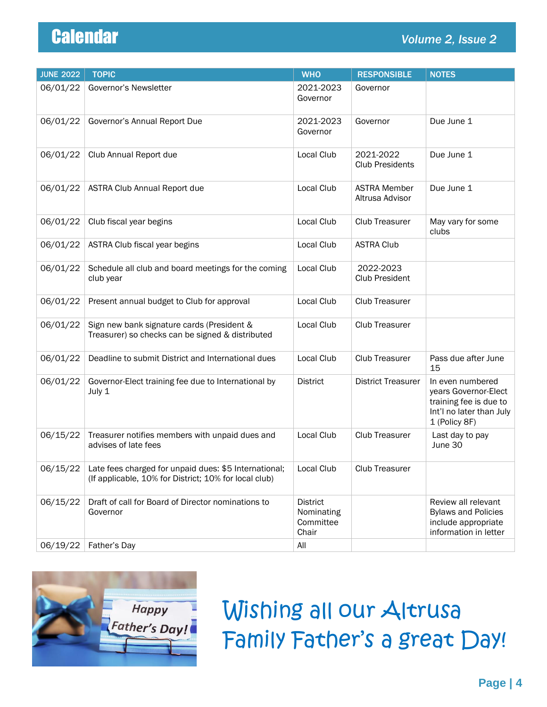| <b>JUNE 2022</b> | <b>TOPIC</b>                                                                                                   | <b>WHO</b>                                          | <b>RESPONSIBLE</b>                     | <b>NOTES</b>                                                                                                    |
|------------------|----------------------------------------------------------------------------------------------------------------|-----------------------------------------------------|----------------------------------------|-----------------------------------------------------------------------------------------------------------------|
| 06/01/22         | Governor's Newsletter                                                                                          | 2021-2023<br>Governor                               | Governor                               |                                                                                                                 |
| 06/01/22         | Governor's Annual Report Due                                                                                   | 2021-2023<br>Governor                               | Governor                               | Due June 1                                                                                                      |
| 06/01/22         | Club Annual Report due                                                                                         | Local Club                                          | 2021-2022<br><b>Club Presidents</b>    | Due June 1                                                                                                      |
| 06/01/22         | <b>ASTRA Club Annual Report due</b>                                                                            | Local Club                                          | <b>ASTRA Member</b><br>Altrusa Advisor | Due June 1                                                                                                      |
| 06/01/22         | Club fiscal year begins                                                                                        | Local Club                                          | Club Treasurer                         | May vary for some<br>clubs                                                                                      |
| 06/01/22         | ASTRA Club fiscal year begins                                                                                  | Local Club                                          | <b>ASTRA Club</b>                      |                                                                                                                 |
| 06/01/22         | Schedule all club and board meetings for the coming<br>club year                                               | Local Club                                          | 2022-2023<br>Club President            |                                                                                                                 |
| 06/01/22         | Present annual budget to Club for approval                                                                     | Local Club                                          | Club Treasurer                         |                                                                                                                 |
| 06/01/22         | Sign new bank signature cards (President &<br>Treasurer) so checks can be signed & distributed                 | Local Club                                          | Club Treasurer                         |                                                                                                                 |
| 06/01/22         | Deadline to submit District and International dues                                                             | Local Club                                          | Club Treasurer                         | Pass due after June<br>15                                                                                       |
| 06/01/22         | Governor-Elect training fee due to International by<br>July 1                                                  | <b>District</b>                                     | <b>District Treasurer</b>              | In even numbered<br>years Governor-Elect<br>training fee is due to<br>Int'l no later than July<br>1 (Policy 8F) |
| 06/15/22         | Treasurer notifies members with unpaid dues and<br>advises of late fees                                        | Local Club                                          | Club Treasurer                         | Last day to pay<br>June 30                                                                                      |
| 06/15/22         | Late fees charged for unpaid dues: \$5 International;<br>(If applicable, 10% for District; 10% for local club) | Local Club                                          | Club Treasurer                         |                                                                                                                 |
| 06/15/22         | Draft of call for Board of Director nominations to<br>Governor                                                 | <b>District</b><br>Nominating<br>Committee<br>Chair |                                        | Review all relevant<br><b>Bylaws and Policies</b><br>include appropriate<br>information in letter               |
| 06/19/22         | Father's Day                                                                                                   | All                                                 |                                        |                                                                                                                 |



Wishing all our Altrusa Family Father's a great Day!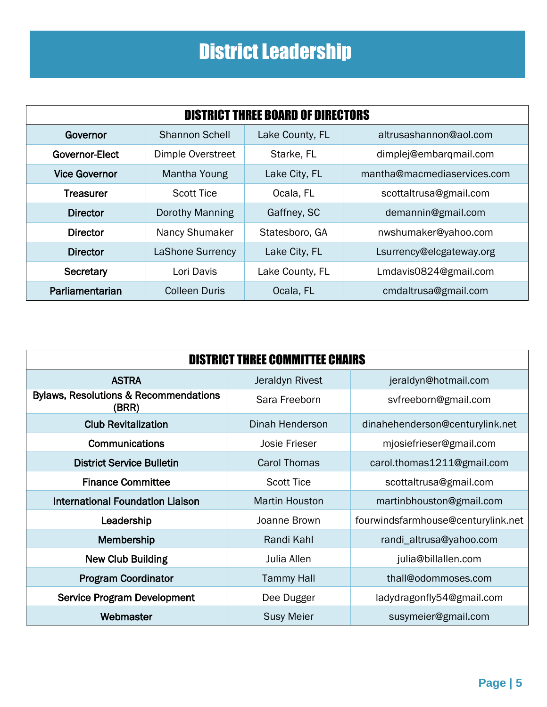### District Leadership

| <b>DISTRICT THREE BOARD OF DIRECTORS</b> |                          |                 |                             |  |  |
|------------------------------------------|--------------------------|-----------------|-----------------------------|--|--|
| Governor                                 | <b>Shannon Schell</b>    | Lake County, FL | altrusashannon@aol.com      |  |  |
| <b>Governor-Elect</b>                    | <b>Dimple Overstreet</b> | Starke, FL      | dimplej@embarqmail.com      |  |  |
| <b>Vice Governor</b>                     | Mantha Young             | Lake City, FL   | mantha@macmediaservices.com |  |  |
| <b>Treasurer</b>                         | <b>Scott Tice</b>        | Ocala, FL       | scottaltrusa@gmail.com      |  |  |
| <b>Director</b>                          | Dorothy Manning          | Gaffney, SC     | demannin@gmail.com          |  |  |
| <b>Director</b>                          | Nancy Shumaker           | Statesboro, GA  | nwshumaker@yahoo.com        |  |  |
| <b>Director</b>                          | <b>LaShone Surrency</b>  | Lake City, FL   | Lsurrency@elcgateway.org    |  |  |
| Secretary                                | Lori Davis               | Lake County, FL | Lmdavis0824@gmail.com       |  |  |
| Parliamentarian                          | <b>Colleen Duris</b>     | Ocala, FL       | cmdaltrusa@gmail.com        |  |  |

| <b>DISTRICT THREE COMMITTEE CHAIRS</b>                    |                       |                                    |  |  |  |
|-----------------------------------------------------------|-----------------------|------------------------------------|--|--|--|
| <b>ASTRA</b>                                              | Jeraldyn Rivest       | jeraldyn@hotmail.com               |  |  |  |
| <b>Bylaws, Resolutions &amp; Recommendations</b><br>(BRR) | Sara Freeborn         | svfreeborn@gmail.com               |  |  |  |
| <b>Club Revitalization</b>                                | Dinah Henderson       | dinahehenderson@centurylink.net    |  |  |  |
| Communications                                            | <b>Josie Frieser</b>  | mjosiefrieser@gmail.com            |  |  |  |
| <b>District Service Bulletin</b>                          | Carol Thomas          | carol.thomas1211@gmail.com         |  |  |  |
| <b>Finance Committee</b>                                  | <b>Scott Tice</b>     | scottaltrusa@gmail.com             |  |  |  |
| <b>International Foundation Liaison</b>                   | <b>Martin Houston</b> | martinbhouston@gmail.com           |  |  |  |
| Leadership                                                | Joanne Brown          | fourwindsfarmhouse@centurylink.net |  |  |  |
| Membership                                                | Randi Kahl            | randi_altrusa@yahoo.com            |  |  |  |
| <b>New Club Building</b>                                  | Julia Allen           | julia@billallen.com                |  |  |  |
| <b>Program Coordinator</b>                                | <b>Tammy Hall</b>     | thall@odommoses.com                |  |  |  |
| <b>Service Program Development</b>                        | Dee Dugger            | ladydragonfly54@gmail.com          |  |  |  |
| Webmaster                                                 | <b>Susy Meier</b>     | susymeier@gmail.com                |  |  |  |